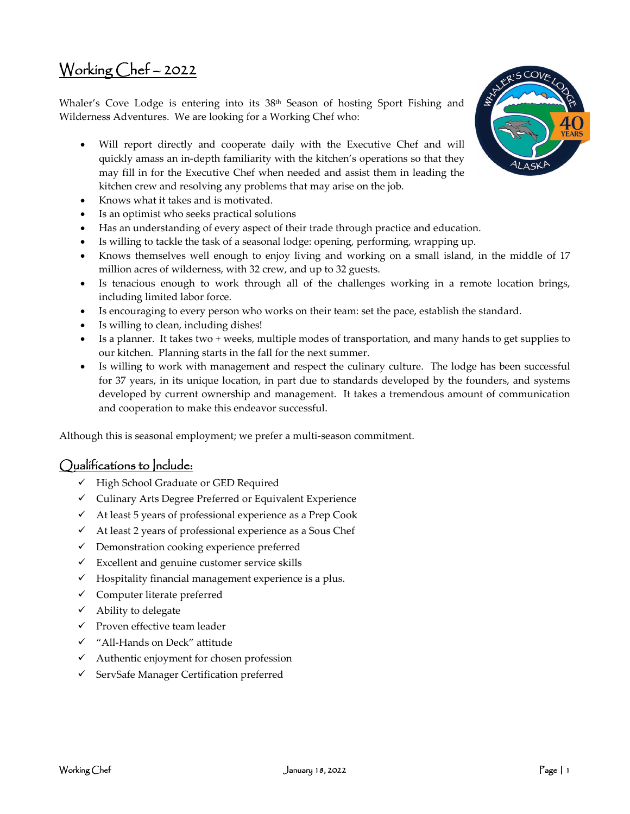# Working Chef – 2022

Whaler's Cove Lodge is entering into its 38<sup>th</sup> Season of hosting Sport Fishing and Wilderness Adventures. We are looking for a Working Chef who:

- Will report directly and cooperate daily with the Executive Chef and will quickly amass an in-depth familiarity with the kitchen's operations so that they may fill in for the Executive Chef when needed and assist them in leading the kitchen crew and resolving any problems that may arise on the job.
- Knows what it takes and is motivated.
- Is an optimist who seeks practical solutions
- Has an understanding of every aspect of their trade through practice and education.
- Is willing to tackle the task of a seasonal lodge: opening, performing, wrapping up.
- Knows themselves well enough to enjoy living and working on a small island, in the middle of 17 million acres of wilderness, with 32 crew, and up to 32 guests.
- Is tenacious enough to work through all of the challenges working in a remote location brings, including limited labor force.
- Is encouraging to every person who works on their team: set the pace, establish the standard.
- Is willing to clean, including dishes!
- Is a planner. It takes two + weeks, multiple modes of transportation, and many hands to get supplies to our kitchen. Planning starts in the fall for the next summer.
- Is willing to work with management and respect the culinary culture. The lodge has been successful for 37 years, in its unique location, in part due to standards developed by the founders, and systems developed by current ownership and management. It takes a tremendous amount of communication and cooperation to make this endeavor successful.

Although this is seasonal employment; we prefer a multi-season commitment.

#### Qualifications to Include:

- $\checkmark$  High School Graduate or GED Required
- $\checkmark$  Culinary Arts Degree Preferred or Equivalent Experience
- $\checkmark$  At least 5 years of professional experience as a Prep Cook
- $\checkmark$  At least 2 years of professional experience as a Sous Chef
- $\checkmark$  Demonstration cooking experience preferred
- $\checkmark$  Excellent and genuine customer service skills
- $\checkmark$  Hospitality financial management experience is a plus.
- $\checkmark$  Computer literate preferred
- $\checkmark$  Ability to delegate
- $\checkmark$  Proven effective team leader
- "All-Hands on Deck" attitude
- $\checkmark$  Authentic enjoyment for chosen profession
- $\checkmark$  ServSafe Manager Certification preferred

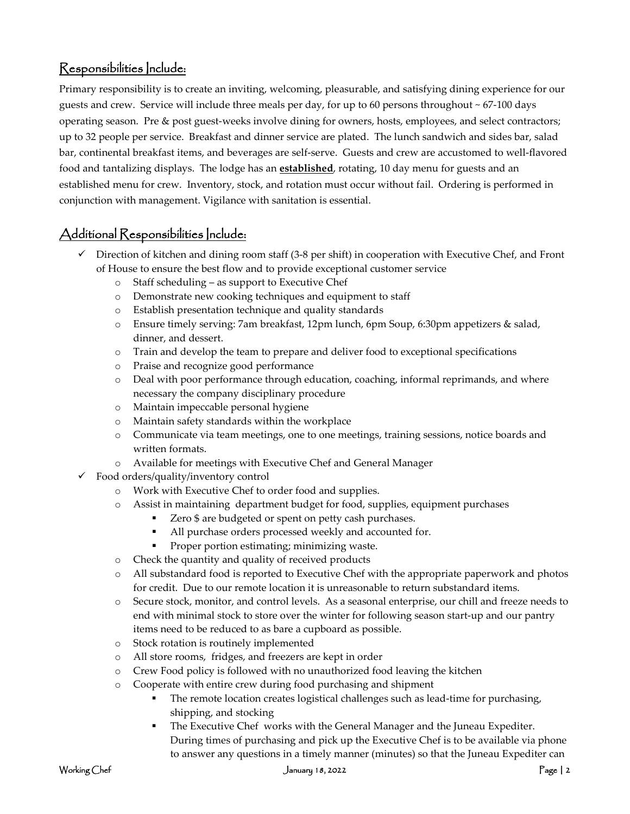### Responsibilities Include:

Primary responsibility is to create an inviting, welcoming, pleasurable, and satisfying dining experience for our guests and crew. Service will include three meals per day, for up to 60 persons throughout ~ 67-100 days operating season. Pre & post guest-weeks involve dining for owners, hosts, employees, and select contractors; up to 32 people per service. Breakfast and dinner service are plated. The lunch sandwich and sides bar, salad bar, continental breakfast items, and beverages are self-serve. Guests and crew are accustomed to well-flavored food and tantalizing displays. The lodge has an **established**, rotating, 10 day menu for guests and an established menu for crew. Inventory, stock, and rotation must occur without fail. Ordering is performed in conjunction with management. Vigilance with sanitation is essential.

## Additional Responsibilities Include:

- $\checkmark$  Direction of kitchen and dining room staff (3-8 per shift) in cooperation with Executive Chef, and Front of House to ensure the best flow and to provide exceptional customer service
	- o Staff scheduling as support to Executive Chef
	- o Demonstrate new cooking techniques and equipment to staff
	- o Establish presentation technique and quality standards
	- o Ensure timely serving: 7am breakfast, 12pm lunch, 6pm Soup, 6:30pm appetizers & salad, dinner, and dessert.
	- o Train and develop the team to prepare and deliver food to exceptional specifications
	- o Praise and recognize good performance
	- o Deal with poor performance through education, coaching, informal reprimands, and where necessary the company disciplinary procedure
	- o Maintain impeccable personal hygiene
	- o Maintain safety standards within the workplace
	- o Communicate via team meetings, one to one meetings, training sessions, notice boards and written formats.
	- o Available for meetings with Executive Chef and General Manager
- $\checkmark$  Food orders/quality/inventory control
	- o Work with Executive Chef to order food and supplies.
	- o Assist in maintaining department budget for food, supplies, equipment purchases
		- Zero \$ are budgeted or spent on petty cash purchases.
		- All purchase orders processed weekly and accounted for.
		- **Proper portion estimating; minimizing waste.**
	- o Check the quantity and quality of received products
	- o All substandard food is reported to Executive Chef with the appropriate paperwork and photos for credit. Due to our remote location it is unreasonable to return substandard items.
	- o Secure stock, monitor, and control levels. As a seasonal enterprise, our chill and freeze needs to end with minimal stock to store over the winter for following season start-up and our pantry items need to be reduced to as bare a cupboard as possible.
	- o Stock rotation is routinely implemented
	- o All store rooms, fridges, and freezers are kept in order
	- o Crew Food policy is followed with no unauthorized food leaving the kitchen
	- o Cooperate with entire crew during food purchasing and shipment
		- The remote location creates logistical challenges such as lead-time for purchasing, shipping, and stocking
		- The Executive Chef works with the General Manager and the Juneau Expediter. During times of purchasing and pick up the Executive Chef is to be available via phone to answer any questions in a timely manner (minutes) so that the Juneau Expediter can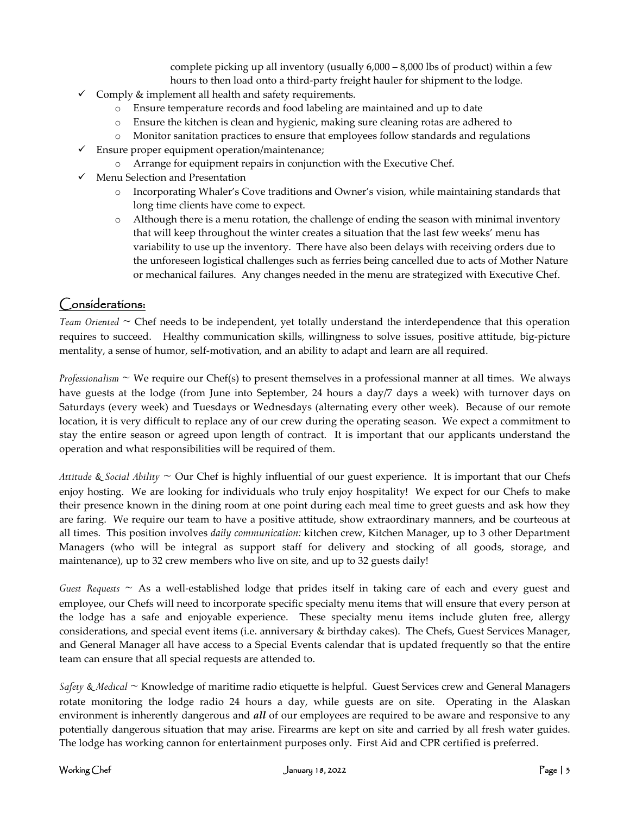complete picking up all inventory (usually 6,000 – 8,000 lbs of product) within a few hours to then load onto a third-party freight hauler for shipment to the lodge.

- $\checkmark$  Comply & implement all health and safety requirements.
	- o Ensure temperature records and food labeling are maintained and up to date
	- o Ensure the kitchen is clean and hygienic, making sure cleaning rotas are adhered to
	- o Monitor sanitation practices to ensure that employees follow standards and regulations
- $\checkmark$  Ensure proper equipment operation/maintenance;
	- o Arrange for equipment repairs in conjunction with the Executive Chef.
- $\checkmark$  Menu Selection and Presentation
	- o Incorporating Whaler's Cove traditions and Owner's vision, while maintaining standards that long time clients have come to expect.
	- o Although there is a menu rotation, the challenge of ending the season with minimal inventory that will keep throughout the winter creates a situation that the last few weeks' menu has variability to use up the inventory. There have also been delays with receiving orders due to the unforeseen logistical challenges such as ferries being cancelled due to acts of Mother Nature or mechanical failures. Any changes needed in the menu are strategized with Executive Chef.

#### Considerations:

*Team Oriented* ~ Chef needs to be independent, yet totally understand the interdependence that this operation requires to succeed. Healthy communication skills, willingness to solve issues, positive attitude, big-picture mentality, a sense of humor, self-motivation, and an ability to adapt and learn are all required.

*Professionalism* ~ We require our Chef(s) to present themselves in a professional manner at all times. We always have guests at the lodge (from June into September, 24 hours a day/7 days a week) with turnover days on Saturdays (every week) and Tuesdays or Wednesdays (alternating every other week). Because of our remote location, it is very difficult to replace any of our crew during the operating season. We expect a commitment to stay the entire season or agreed upon length of contract. It is important that our applicants understand the operation and what responsibilities will be required of them.

*Attitude & Social Ability* ~ Our Chef is highly influential of our guest experience. It is important that our Chefs enjoy hosting. We are looking for individuals who truly enjoy hospitality! We expect for our Chefs to make their presence known in the dining room at one point during each meal time to greet guests and ask how they are faring. We require our team to have a positive attitude, show extraordinary manners, and be courteous at all times. This position involves *daily communication:* kitchen crew, Kitchen Manager, up to 3 other Department Managers (who will be integral as support staff for delivery and stocking of all goods, storage, and maintenance), up to 32 crew members who live on site, and up to 32 guests daily!

*Guest Requests* ~ As a well-established lodge that prides itself in taking care of each and every guest and employee, our Chefs will need to incorporate specific specialty menu items that will ensure that every person at the lodge has a safe and enjoyable experience. These specialty menu items include gluten free, allergy considerations, and special event items (i.e. anniversary & birthday cakes). The Chefs, Guest Services Manager, and General Manager all have access to a Special Events calendar that is updated frequently so that the entire team can ensure that all special requests are attended to.

*Safety & Medical* ~ Knowledge of maritime radio etiquette is helpful. Guest Services crew and General Managers rotate monitoring the lodge radio 24 hours a day, while guests are on site. Operating in the Alaskan environment is inherently dangerous and *all* of our employees are required to be aware and responsive to any potentially dangerous situation that may arise. Firearms are kept on site and carried by all fresh water guides. The lodge has working cannon for entertainment purposes only. First Aid and CPR certified is preferred.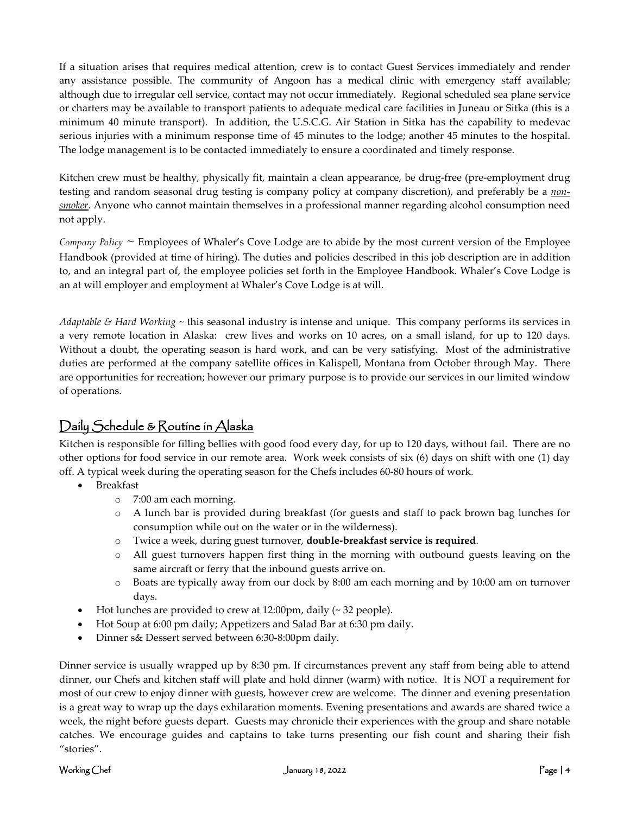If a situation arises that requires medical attention, crew is to contact Guest Services immediately and render any assistance possible. The community of Angoon has a medical clinic with emergency staff available; although due to irregular cell service, contact may not occur immediately. Regional scheduled sea plane service or charters may be available to transport patients to adequate medical care facilities in Juneau or Sitka (this is a minimum 40 minute transport). In addition, the U.S.C.G. Air Station in Sitka has the capability to medevac serious injuries with a minimum response time of 45 minutes to the lodge; another 45 minutes to the hospital. The lodge management is to be contacted immediately to ensure a coordinated and timely response.

Kitchen crew must be healthy, physically fit, maintain a clean appearance, be drug-free (pre-employment drug testing and random seasonal drug testing is company policy at company discretion), and preferably be a *nonsmoker*. Anyone who cannot maintain themselves in a professional manner regarding alcohol consumption need not apply.

*Company Policy ~* Employees of Whaler's Cove Lodge are to abide by the most current version of the Employee Handbook (provided at time of hiring). The duties and policies described in this job description are in addition to, and an integral part of, the employee policies set forth in the Employee Handbook. Whaler's Cove Lodge is an at will employer and employment at Whaler's Cove Lodge is at will.

*Adaptable & Hard Working* ~ this seasonal industry is intense and unique. This company performs its services in a very remote location in Alaska: crew lives and works on 10 acres, on a small island, for up to 120 days. Without a doubt, the operating season is hard work, and can be very satisfying. Most of the administrative duties are performed at the company satellite offices in Kalispell, Montana from October through May. There are opportunities for recreation; however our primary purpose is to provide our services in our limited window of operations.

## Daily Schedule & Routine in Alaska

Kitchen is responsible for filling bellies with good food every day, for up to 120 days, without fail. There are no other options for food service in our remote area. Work week consists of six (6) days on shift with one (1) day off. A typical week during the operating season for the Chefs includes 60-80 hours of work.

- Breakfast
	- o 7:00 am each morning.
	- o A lunch bar is provided during breakfast (for guests and staff to pack brown bag lunches for consumption while out on the water or in the wilderness).
	- o Twice a week, during guest turnover, **double-breakfast service is required**.
	- o All guest turnovers happen first thing in the morning with outbound guests leaving on the same aircraft or ferry that the inbound guests arrive on.
	- o Boats are typically away from our dock by 8:00 am each morning and by 10:00 am on turnover days.
- Hot lunches are provided to crew at  $12:00 \text{pm}$ , daily ( $\sim 32$  people).
- Hot Soup at 6:00 pm daily; Appetizers and Salad Bar at 6:30 pm daily.
- Dinner s& Dessert served between 6:30-8:00pm daily.

Dinner service is usually wrapped up by 8:30 pm. If circumstances prevent any staff from being able to attend dinner, our Chefs and kitchen staff will plate and hold dinner (warm) with notice. It is NOT a requirement for most of our crew to enjoy dinner with guests, however crew are welcome. The dinner and evening presentation is a great way to wrap up the days exhilaration moments. Evening presentations and awards are shared twice a week, the night before guests depart. Guests may chronicle their experiences with the group and share notable catches. We encourage guides and captains to take turns presenting our fish count and sharing their fish "stories".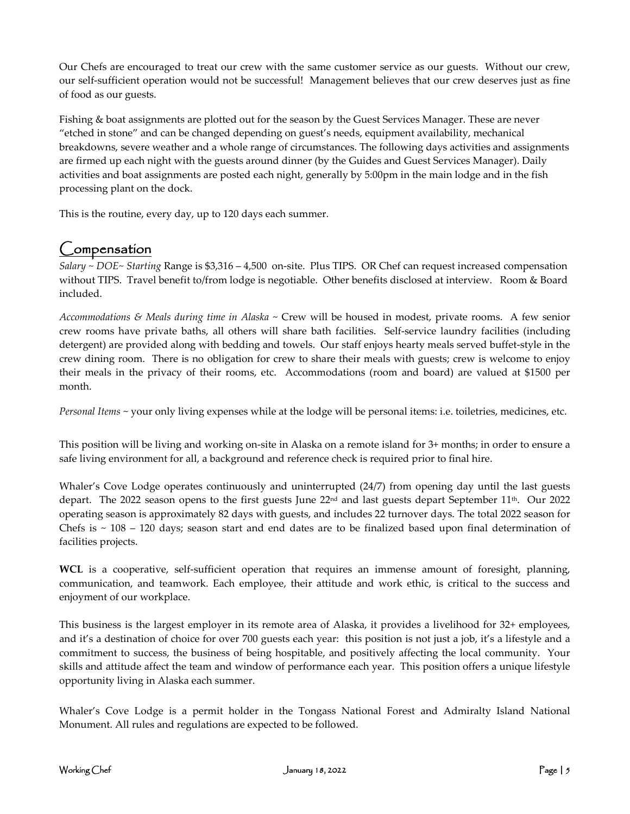Our Chefs are encouraged to treat our crew with the same customer service as our guests. Without our crew, our self-sufficient operation would not be successful! Management believes that our crew deserves just as fine of food as our guests.

Fishing & boat assignments are plotted out for the season by the Guest Services Manager. These are never "etched in stone" and can be changed depending on guest's needs, equipment availability, mechanical breakdowns, severe weather and a whole range of circumstances. The following days activities and assignments are firmed up each night with the guests around dinner (by the Guides and Guest Services Manager). Daily activities and boat assignments are posted each night, generally by 5:00pm in the main lodge and in the fish processing plant on the dock.

This is the routine, every day, up to 120 days each summer.

# Compensation

*Salary ~ DOE~ Starting* Range is \$3,316 – 4,500 on-site. Plus TIPS. OR Chef can request increased compensation without TIPS. Travel benefit to/from lodge is negotiable. Other benefits disclosed at interview. Room & Board included.

*Accommodations & Meals during time in Alaska* ~ Crew will be housed in modest, private rooms. A few senior crew rooms have private baths, all others will share bath facilities. Self-service laundry facilities (including detergent) are provided along with bedding and towels. Our staff enjoys hearty meals served buffet-style in the crew dining room. There is no obligation for crew to share their meals with guests; crew is welcome to enjoy their meals in the privacy of their rooms, etc. Accommodations (room and board) are valued at \$1500 per month.

*Personal Items* ~ your only living expenses while at the lodge will be personal items: i.e. toiletries, medicines, etc.

This position will be living and working on-site in Alaska on a remote island for 3+ months; in order to ensure a safe living environment for all, a background and reference check is required prior to final hire.

Whaler's Cove Lodge operates continuously and uninterrupted (24/7) from opening day until the last guests depart. The 2022 season opens to the first guests June  $22<sup>nd</sup>$  and last guests depart September 11<sup>th</sup>. Our 2022 operating season is approximately 82 days with guests, and includes 22 turnover days. The total 2022 season for Chefs is  $\sim$  108 – 120 days; season start and end dates are to be finalized based upon final determination of facilities projects.

**WCL** is a cooperative, self-sufficient operation that requires an immense amount of foresight, planning, communication, and teamwork. Each employee, their attitude and work ethic, is critical to the success and enjoyment of our workplace.

This business is the largest employer in its remote area of Alaska, it provides a livelihood for 32+ employees, and it's a destination of choice for over 700 guests each year: this position is not just a job, it's a lifestyle and a commitment to success, the business of being hospitable, and positively affecting the local community. Your skills and attitude affect the team and window of performance each year. This position offers a unique lifestyle opportunity living in Alaska each summer.

Whaler's Cove Lodge is a permit holder in the Tongass National Forest and Admiralty Island National Monument. All rules and regulations are expected to be followed.